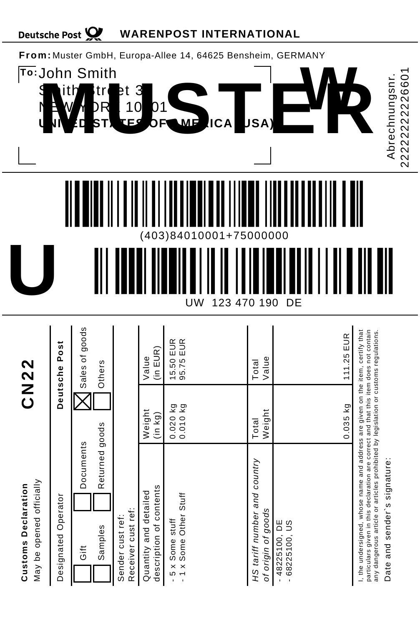| <b>Deutsche Post</b>                                        |                     |                   |                           |                                       |                                                  | <b>WARENPOST INTERNATIONAL</b>                |                |                                                    |                                 |            |                                                                                                                                                                                                                                                                                                |
|-------------------------------------------------------------|---------------------|-------------------|---------------------------|---------------------------------------|--------------------------------------------------|-----------------------------------------------|----------------|----------------------------------------------------|---------------------------------|------------|------------------------------------------------------------------------------------------------------------------------------------------------------------------------------------------------------------------------------------------------------------------------------------------------|
| From: Muster GmbH, Europa-Allee 14, 64625 Bensheim, GERMANY |                     |                   |                           |                                       |                                                  |                                               |                |                                                    |                                 |            |                                                                                                                                                                                                                                                                                                |
| To: John Smith<br>\$<br>Ŋ                                   |                     |                   | tr<br>₹                   | t<br>0<br>1<br>:Fd                    | 3<br>01                                          |                                               | С<br>А         |                                                    |                                 |            | 22222222226601<br>Abrechnungsnr.                                                                                                                                                                                                                                                               |
|                                                             |                     |                   |                           |                                       |                                                  |                                               |                |                                                    |                                 |            |                                                                                                                                                                                                                                                                                                |
|                                                             |                     |                   |                           |                                       | 3)<br>0                                          | 84<br>1<br>0<br>000                           | 1<br>5         | 000                                                | 000                             |            |                                                                                                                                                                                                                                                                                                |
|                                                             |                     |                   |                           |                                       |                                                  | UW                                            | 1<br>23<br>470 | 190                                                | DE                              |            |                                                                                                                                                                                                                                                                                                |
| <b>CN22</b>                                                 | Deutsche Post       | Sales of goods    | Others                    |                                       | (in EUR)<br>Value                                | 15.50 EUR<br>95.75 EUR                        |                | Value<br>Total                                     |                                 | 111.25 EUR |                                                                                                                                                                                                                                                                                                |
|                                                             |                     |                   |                           |                                       | Weight<br>(in kg)                                | 0.020 kg<br>0.010 kg                          |                | Weight<br>Total                                    |                                 | $0.035$ kg |                                                                                                                                                                                                                                                                                                |
| May be opened officially<br><b>Customs Declaration</b>      | Designated Operator | Documents<br>Gift | Returned goods<br>Samples | Receiver cust ref:<br>Sender cust ref | description of contents<br>Quantity and detailed | - 1 x Some Other Stuff<br>5 x Some stuff<br>ı |                | HS tariff number and country<br>of origin of goods | $-48225100, DE$<br>68225100, US |            | particulars given in this declaration are correct and that this item does not contain<br>I, the undersigned, whose name and address are given on the item, certify that<br>any dangerous article or articles prohibited by legislation or customs regulations.<br>Date and sender's signature: |